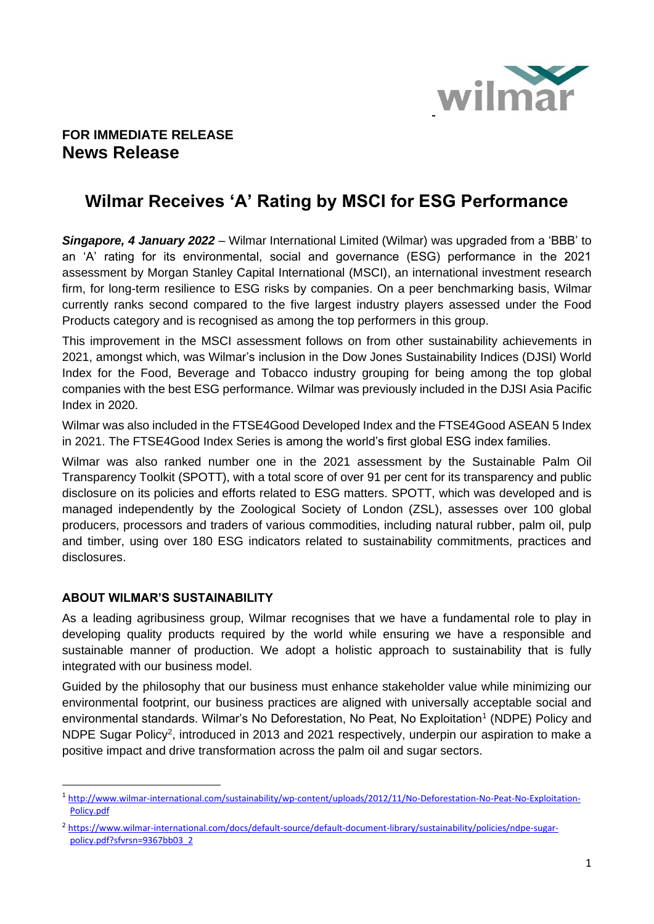

## **FOR IMMEDIATE RELEASE News Release**

## **Wilmar Receives 'A' Rating by MSCI for ESG Performance**

*Singapore, 4 January 2022* – Wilmar International Limited (Wilmar) was upgraded from a 'BBB' to an 'A' rating for its environmental, social and governance (ESG) performance in the 2021 assessment by Morgan Stanley Capital International (MSCI), an international investment research firm, for long-term resilience to ESG risks by companies. On a peer benchmarking basis, Wilmar currently ranks second compared to the five largest industry players assessed under the Food Products category and is recognised as among the top performers in this group.

This improvement in the MSCI assessment follows on from other sustainability achievements in 2021, amongst which, was Wilmar's inclusion in the Dow Jones Sustainability Indices (DJSI) World Index for the Food, Beverage and Tobacco industry grouping for being among the top global companies with the best ESG performance. Wilmar was previously included in the DJSI Asia Pacific Index in 2020.

Wilmar was also included in the FTSE4Good Developed Index and the FTSE4Good ASEAN 5 Index in 2021. The FTSE4Good Index Series is among the world's first global ESG index families.

Wilmar was also ranked number one in the 2021 assessment by the Sustainable Palm Oil Transparency Toolkit (SPOTT), with a total score of over 91 per cent for its transparency and public disclosure on its policies and efforts related to ESG matters. SPOTT, which was developed and is managed independently by the Zoological Society of London (ZSL), assesses over 100 global producers, processors and traders of various commodities, including natural rubber, palm oil, pulp and timber, using over 180 ESG indicators related to sustainability commitments, practices and disclosures.

## **ABOUT WILMAR'S SUSTAINABILITY**

As a leading agribusiness group, Wilmar recognises that we have a fundamental role to play in developing quality products required by the world while ensuring we have a responsible and sustainable manner of production. We adopt a holistic approach to sustainability that is fully integrated with our business model.

Guided by the philosophy that our business must enhance stakeholder value while minimizing our environmental footprint, our business practices are aligned with universally acceptable social and environmental standards. Wilmar's No Deforestation, No Peat, No Exploitation<sup>1</sup> (NDPE) Policy and NDPE Sugar Policy<sup>2</sup>, introduced in 2013 and 2021 respectively, underpin our aspiration to make a positive impact and drive transformation across the palm oil and sugar sectors.

<sup>1</sup> [http://www.wilmar-international.com/sustainability/wp-content/uploads/2012/11/No-Deforestation-No-Peat-No-Exploitation-](http://www.wilmar-international.com/sustainability/wp-content/uploads/2012/11/No-Deforestation-No-Peat-No-Exploitation-Policy.pdf)[Policy.pdf](http://www.wilmar-international.com/sustainability/wp-content/uploads/2012/11/No-Deforestation-No-Peat-No-Exploitation-Policy.pdf)

<sup>2</sup> [https://www.wilmar-international.com/docs/default-source/default-document-library/sustainability/policies/ndpe-sugar](https://www.wilmar-international.com/docs/default-source/default-document-library/sustainability/policies/ndpe-sugar-policy.pdf?sfvrsn=9367bb03_2)[policy.pdf?sfvrsn=9367bb03\\_2](https://www.wilmar-international.com/docs/default-source/default-document-library/sustainability/policies/ndpe-sugar-policy.pdf?sfvrsn=9367bb03_2)